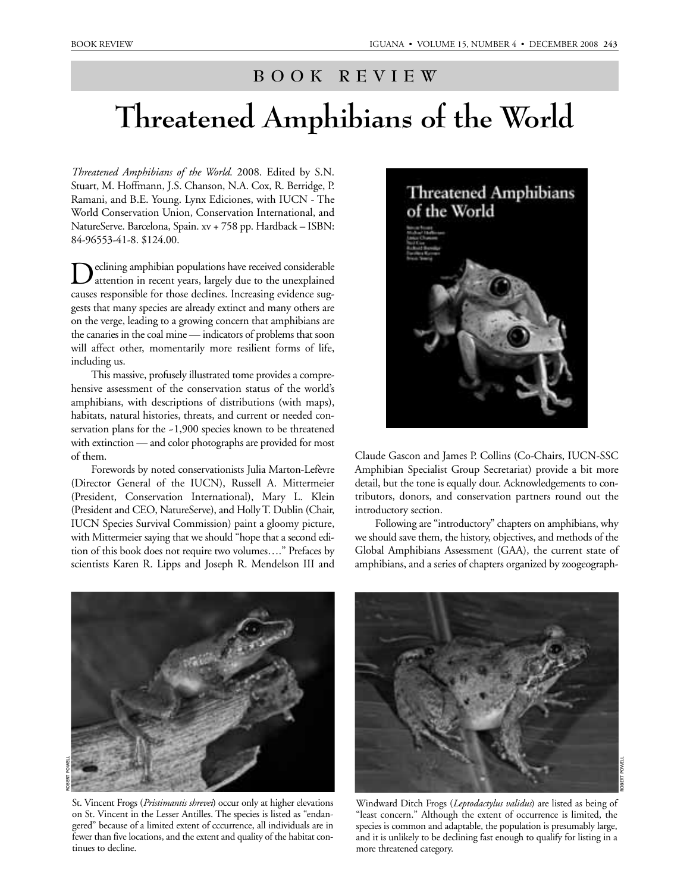## **BOOK REVIEW**

## **Threatened Amphibians of the World**

*Threatened Amphibians of the World*. 2008. Edited by S.N. Stuart, M. Hoffmann, J.S. Chanson, N.A. Cox, R. Berridge, P. Ramani, and B.E. Young. Lynx Ediciones, with IUCN - The World Conservation Union, Conservation International, and NatureServe. Barcelona, Spain. xv + 758 pp. Hardback – ISBN: 84-96553-41-8. \$124.00.

Declining amphibian populations have received considerable<br>attention in recent years, largely due to the unexplained causes responsible for those declines. Increasing evidence suggests that many species are already extinct and many others are on the verge, leading to a growing concern that amphibians are the canaries in the coal mine — indicators of problems that soon will affect other, momentarily more resilient forms of life, including us.

This massive, profusely illustrated tome provides a comprehensive assessment of the conservation status of the world's amphibians, with descriptions of distributions (with maps), habitats, natural histories, threats, and current or needed conservation plans for the ~1,900 species known to be threatened with extinction — and color photographs are provided for most of them.

Forewords by noted conservationists Julia Marton-Lefèvre (Director General of the IUCN), Russell A. Mittermeier (President, Conservation International), Mary L. Klein (President and CEO, NatureServe), and Holly T. Dublin (Chair, IUCN Species Survival Commission) paint a gloomy picture, with Mittermeier saying that we should "hope that a second edition of this book does not require two volumes…." Prefaces by scientists Karen R. Lipps and Joseph R. Mendelson III and



Claude Gascon and James P. Collins (Co-Chairs, IUCN-SSC Amphibian Specialist Group Secretariat) provide a bit more detail, but the tone is equally dour. Acknowledgements to contributors, donors, and conservation partners round out the introductory section.

Following are "introductory" chapters on amphibians, why we should save them, the history, objectives, and methods of the Global Amphibians Assessment (GAA), the current state of amphibians, and a series of chapters organized by zoogeograph-



St. Vincent Frogs (*Pristimantis shrevei*) occur only at higher elevations on St. Vincent in the Lesser Antilles. The species is listed as "endangered" because of a limited extent of cccurrence, all individuals are in fewer than five locations, and the extent and quality of the habitat continues to decline.



Windward Ditch Frogs (*Leptodactylus validus*) are listed as being of "least concern." Although the extent of occurrence is limited, the species is common and adaptable, the population is presumably large, and it is unlikely to be declining fast enough to qualify for listing in a more threatened category.